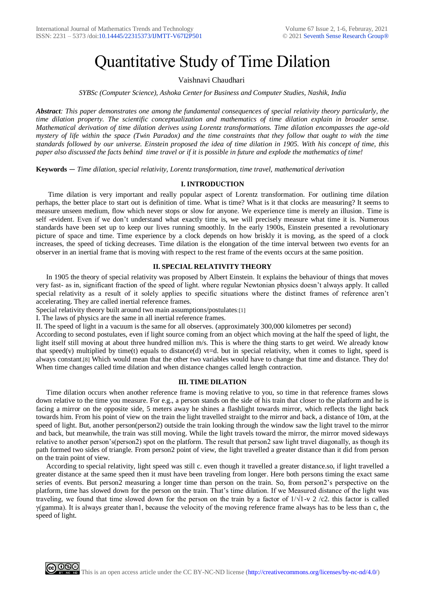# Quantitative Study of Time Dilation

Vaishnavi Chaudhari

*SYBSc (Computer Science), Ashoka Center for Business and Computer Studies, Nashik, India*

*Abstract: This paper demonstrates one among the fundamental consequences of special relativity theory particularly, the time dilation property. The scientific conceptualization and mathematics of time dilation explain in broader sense. Mathematical derivation of time dilation derives using Lorentz transformations. Time dilation encompasses the age-old mystery of life within the space (Twin Paradox) and the time constraints that they follow that ought to with the time standards followed by our universe. Einstein proposed the idea of time dilation in 1905. With his concept of time, this paper also discussed the facts behind time travel or if it is possible in future and explode the mathematics of time!*

**Keywords** *— Time dilation, special relativity, Lorentz transformation, time travel, mathematical derivation*

# **I. INTRODUCTION**

Time dilation is very important and really popular aspect of Lorentz transformation. For outlining time dilation perhaps, the better place to start out is definition of time. What is time? What is it that clocks are measuring? It seems to measure unseen medium, flow which never stops or slow for anyone. We experience time is merely an illusion. Time is self -evident. Even if we don't understand what exactly time is, we will precisely measure what time it is. Numerous standards have been set up to keep our lives running smoothly. In the early 1900s, Einstein presented a revolutionary picture of space and time. Time experience by a clock depends on how briskly it is moving, as the speed of a clock increases, the speed of ticking decreases. Time dilation is the elongation of the time interval between two events for an observer in an inertial frame that is moving with respect to the rest frame of the events occurs at the same position.

# **II. SPECIAL RELATIVITY THEORY**

In 1905 the theory of special relativity was proposed by Albert Einstein. It explains the behaviour of things that moves very fast- as in, significant fraction of the speed of light. where regular Newtonian physics doesn't always apply. It called special relativity as a result of it solely applies to specific situations where the distinct frames of reference aren't accelerating. They are called inertial reference frames.

Special relativity theory built around two main assumptions/postulates:[1]

I. The laws of physics are the same in all inertial reference frames.

II. The speed of light in a vacuum is the same for all observes. (approximately 300,000 kilometres per second)

According to second postulates, even if light source coming from an object which moving at the half the speed of light, the light itself still moving at about three hundred million m/s. This is where the thing starts to get weird. We already know that speed(v) multiplied by time(t) equals to distance(d) vt=d. but in special relativity, when it comes to light, speed is always constant.[8] Which would mean that the other two variables would have to change that time and distance. They do! When time changes called time dilation and when distance changes called length contraction.

# **III. TIME DILATION**

Time dilation occurs when another reference frame is moving relative to you, so time in that reference frames slows down relative to the time you measure. For e.g., a person stands on the side of his train that closer to the platform and he is facing a mirror on the opposite side, 5 meters away he shines a flashlight towards mirror, which reflects the light back towards him. From his point of view on the train the light travelled straight to the mirror and back, a distance of 10m, at the speed of light. But, another person(person2) outside the train looking through the window saw the light travel to the mirror and back, but meanwhile, the train was still moving. While the light travels toward the mirror, the mirror moved sideways relative to another person's(person2) spot on the platform. The result that person2 saw light travel diagonally, as though its path formed two sides of triangle. From person2 point of view, the light travelled a greater distance than it did from person on the train point of view.

According to special relativity, light speed was still c. even though it travelled a greater distance.so, if light travelled a greater distance at the same speed then it must have been traveling from longer. Here both persons timing the exact same series of events. But person2 measuring a longer time than person on the train. So, from person2's perspective on the platform, time has slowed down for the person on the train. That's time dilation. If we Measured distance of the light was traveling, we found that time slowed down for the person on the train by a factor of  $1/\sqrt{1}$ -v 2 /c2. this factor is called  $γ$ (gamma). It is always greater than1, because the velocity of the moving reference frame always has to be less than c, the speed of light.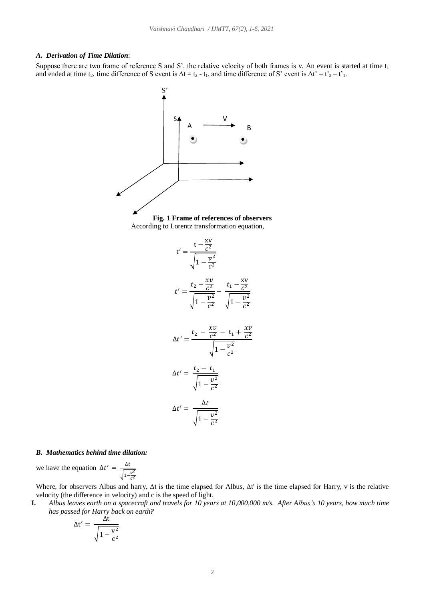# *A. Derivation of Time Dilation*:

Suppose there are two frame of reference S and S', the relative velocity of both frames is v. An event is started at time  $t_1$ and ended at time t<sub>2</sub>. time difference of S event is  $\Delta t = t_2 - t_1$ , and time difference of S' event is  $\Delta t' = t'_2 - t'_1$ .



*B. Mathematics behind time dilation:*

we have the equation  $\Delta t' = \frac{\Delta t}{\sqrt{2\pi}}$  $\sqrt{1-\frac{v^2}{c^2}}$  $c<sup>2</sup>$ 

Where, for observers Albus and harry, Δt is the time elapsed for Albus, Δt' is the time elapsed for Harry, v is the relative velocity (the difference in velocity) and c is the speed of light.

**I.** *Albus leaves earth on a spacecraft and travels for 10 years at 10,000,000 m/s. After Albus's 10 years, how much time has passed for Harry back on earth?*

$$
\Delta t' = \frac{\Delta t}{\sqrt{1 - \frac{v^2}{c^2}}}
$$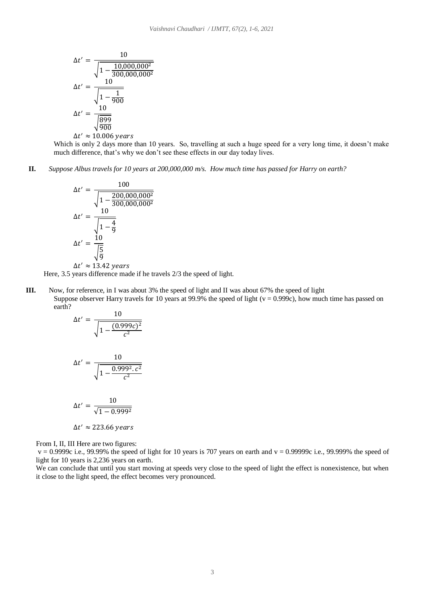$$
\Delta t' = \frac{10}{\sqrt{1 - \frac{10,000,000^2}{300,000,000^2}}}
$$

$$
\Delta t' = \frac{10}{\sqrt{1 - \frac{1}{900}}}
$$

$$
\Delta t' = \frac{10}{\sqrt{\frac{899}{900}}}
$$

 $\Delta t' \approx 10.006 \text{ years}$ 

Which is only 2 days more than 10 years. So, travelling at such a huge speed for a very long time, it doesn't make much difference, that's why we don't see these effects in our day today lives.

**II.** *Suppose Albus travels for 10 years at 200,000,000 m/s. How much time has passed for Harry on earth?*

$$
\Delta t' = \frac{100}{\sqrt{1 - \frac{200,000,000^2}{300,000,000^2}}}
$$

$$
\Delta t' = \frac{10}{\sqrt{1 - \frac{4}{9}}}
$$

$$
\Delta t' = \frac{10}{\sqrt{\frac{5}{9}}}
$$

$$
\Delta t' \approx 13.42 \text{ years}
$$

Here, 3.5 years difference made if he travels 2/3 the speed of light.

**III.** Now, for reference, in I was about 3% the speed of light and II was about 67% the speed of light Suppose observer Harry travels for 10 years at 99.9% the speed of light ( $v = 0.999c$ ), how much time has passed on earth?

$$
\Delta t' = \frac{10}{\sqrt{1 - \frac{(0.999c)^2}{c^2}}}
$$
\n
$$
\Delta t' = \frac{10}{\sqrt{1 - \frac{0.999^2 c^2}{c^2}}}
$$
\n
$$
\Delta t' = \frac{10}{\sqrt{1 - 0.999^2}}
$$

$$
\Delta t' \approx 223.66 \, years
$$

From I, II, III Here are two figures:

 $v = 0.9999c$  i.e., 99.99% the speed of light for 10 years is 707 years on earth and  $v = 0.99999c$  i.e., 99.999% the speed of light for 10 years is 2,236 years on earth.

We can conclude that until you start moving at speeds very close to the speed of light the effect is nonexistence, but when it close to the light speed, the effect becomes very pronounced.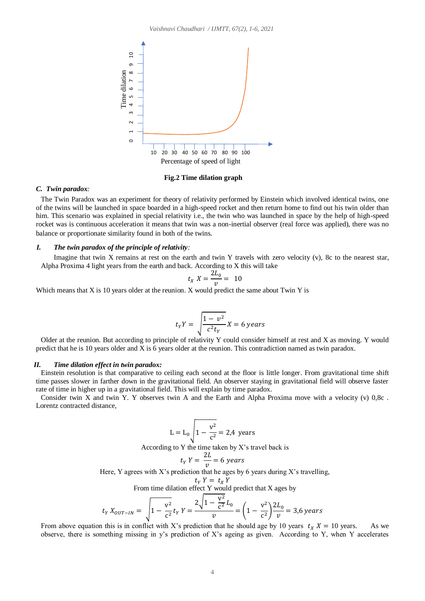

**Fig.2 Time dilation graph**

# *C. Twin paradox:*

The Twin Paradox was an experiment for theory of relativity performed by Einstein which involved identical twins, one of the twins will be launched in space boarded in a high-speed rocket and then return home to find out his twin older than him. This scenario was explained in special relativity i.e., the twin who was launched in space by the help of high-speed rocket was is continuous acceleration it means that twin was a non-inertial observer (real force was applied), there was no balance or proportionate similarity found in both of the twins*.*

# *I. The twin paradox of the principle of relativity:*

Imagine that twin X remains at rest on the earth and twin Y travels with zero velocity (v), 8c to the nearest star, Alpha Proxima 4 light years from the earth and back. According to X this will take

$$
t_X X = \frac{2L_0}{v} = 10
$$

Which means that  $X$  is 10 years older at the reunion.  $X$  would predict the same about Twin  $Y$  is

$$
t_{Y}Y = \sqrt{\frac{1 - v^{2}}{c^{2}t_{Y}}}X = 6 \text{ years}
$$

Older at the reunion. But according to principle of relativity Y could consider himself at rest and X as moving. Y would predict that he is 10 years older and X is 6 years older at the reunion. This contradiction named as twin paradox.

# *II. Time dilation effect in twin paradox:*

Einstein resolution is that comparative to ceiling each second at the floor is little longer. From gravitational time shift time passes slower in farther down in the gravitational field. An observer staying in gravitational field will observe faster rate of time in higher up in a gravitational field. This will explain by time paradox.

Consider twin X and twin Y. Y observes twin A and the Earth and Alpha Proxima move with a velocity (v)  $0.8c$ . Lorentz contracted distance,

$$
L = L_0 \sqrt{1 - \frac{v^2}{c^2}} = 2.4
$$
 years

According to Y the time taken by X's travel back is

$$
t_Y Y = \frac{2L}{v} = 6 \text{ years}
$$

Here, Y agrees with X's prediction that he ages by 6 years during X's travelling,

$$
t_Y Y = t_X Y
$$

From time dilation effect Y would predict that X ages by

$$
t_Y X_{OUT-IN} = \sqrt{1 - \frac{v^2}{c^2}} t_Y Y = \frac{2\sqrt{1 - \frac{v^2}{c^2}} L_0}{v} = \left(1 - \frac{v^2}{c^2}\right) \frac{2L_0}{v} = 3.6 \text{ years}
$$

From above equation this is in conflict with X's prediction that he should age by 10 years  $t_x X = 10$  years. As we observe, there is something missing in y's prediction of X's ageing as given. According to Y, when Y accelerates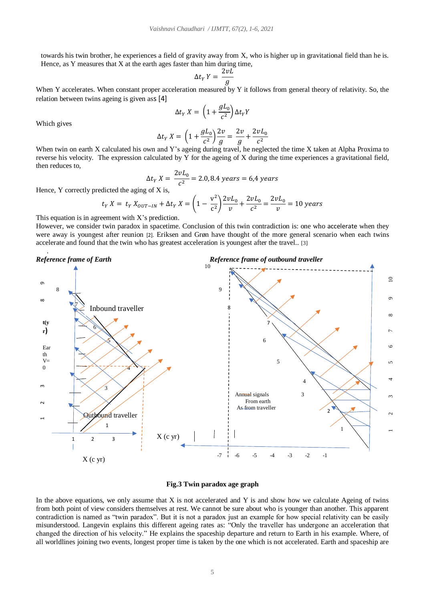towards his twin brother, he experiences a field of gravity away from X, who is higher up in gravitational field than he is. Hence, as Y measures that X at the earth ages faster than him during time,

$$
\Delta t_Y Y = \frac{2\nu L}{g}
$$

When Y accelerates. When constant proper acceleration measured by Y it follows from general theory of relativity. So, the relation between twins ageing is given ass [4]

$$
\Delta t_Y X = \left(1 + \frac{gL_0}{c^2}\right) \Delta t_Y Y
$$

Which gives

$$
\Delta t_Y X = \left(1 + \frac{gL_0}{c^2}\right) \frac{2v}{g} = \frac{2v}{g} + \frac{2vL_0}{c^2}
$$

When twin on earth X calculated his own and Y's ageing during travel, he neglected the time X taken at Alpha Proxima to reverse his velocity. The expression calculated by Y for the ageing of X during the time experiences a gravitational field, then reduces to,

$$
\Delta t_Y X = \frac{2vL_0}{c^2} = 2.0, 8.4 \text{ years} = 6.4 \text{ years}
$$

Hence, Y correctly predicted the aging of X is,

$$
t_Y X = t_Y X_{OUT-IN} + \Delta t_Y X = \left(1 - \frac{v^2}{c^2}\right) \frac{2vL_0}{v} + \frac{2vL_0}{c^2} = \frac{2vL_0}{v} = 10
$$
 years

This equation is in agreement with X's prediction.

However, we consider twin paradox in spacetime. Conclusion of this twin contradiction is: one who accelerate when they were away is youngest after reunion [2]. Eriksen and Grøn have thought of the more general scenario when each twins accelerate and found that the twin who has greatest acceleration is youngest after the travel.. [3]



#### **Fig.3 Twin paradox age graph**

In the above equations, we only assume that  $X$  is not accelerated and  $Y$  is and show how we calculate Ageing of twins from both point of view considers themselves at rest. We cannot be sure about who is younger than another. This apparent contradiction is named as "twin paradox". But it is not a paradox just an example for how special relativity can be easily misunderstood. Langevin explains this different ageing rates as: "Only the traveller has undergone an acceleration that changed the direction of his velocity." He explains the spaceship departure and return to Earth in his example. Where, of